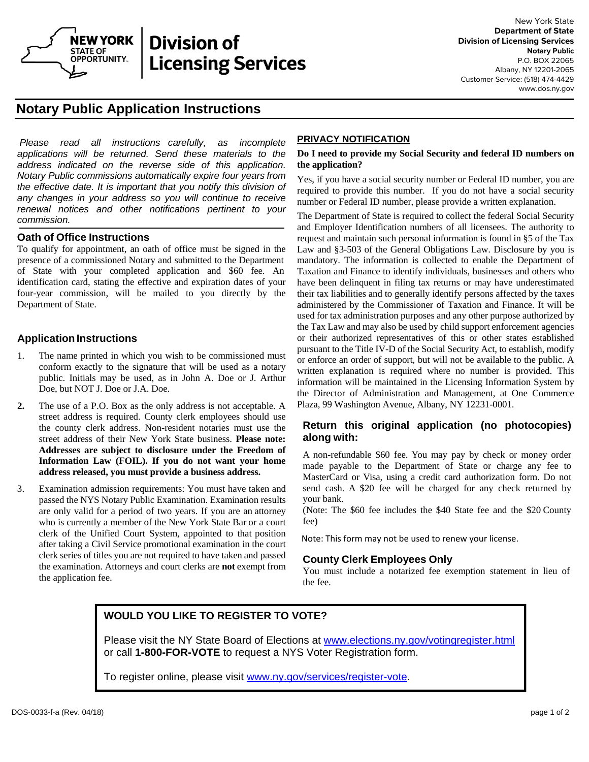

# **Division of** STATE OF **NOTARY PUBLIC CONSULTS:**<br>
OPPORTUNITY **Licensing Services**

# **Notary Public Application Instructions**

*Please read all instructions carefully, as incomplete applications will be returned. Send these materials to the address indicated on the reverse side of this application. Notary Public commissions automatically expire four years from the effective date. It is important that you notify this division of any changes in your address so you will continue to receive renewal notices and other notifications pertinent to your commission.*

#### **Oath of Office Instructions**

To qualify for appointment, an oath of office must be signed in the presence of a commissioned Notary and submitted to the Department of State with your completed application and \$60 fee. An identification card, stating the effective and expiration dates of your four-year commission, will be mailed to you directly by the Department of State.

## **Application Instructions**

- 1. The name printed in which you wish to be commissioned must conform exactly to the signature that will be used as a notary public. Initials may be used, as in John A. Doe or J. Arthur Doe, but NOT J. Doe or J.A. Doe.
- **2.** The use of a P.O. Box as the only address is not acceptable. A street address is required. County clerk employees should use the county clerk address. Non-resident notaries must use the street address of their New York State business. **Please note: Addresses are subject to disclosure under the Freedom of Information Law (FOIL). If you do not want your home address released, you must provide a business address.**
- 3. Examination admission requirements: You must have taken and passed the NYS Notary Public Examination. Examination results are only valid for a period of two years. If you are an attorney who is currently a member of the New York State Bar or a court clerk of the Unified Court System, appointed to that position after taking a Civil Service promotional examination in the court clerk series of titles you are not required to have taken and passed the examination. Attorneys and court clerks are **not** exempt from the application fee.

#### **PRIVACY NOTIFICATION**

#### **Do I need to provide my Social Security and federal ID numbers on the application?**

Yes, if you have a social security number or Federal ID number, you are required to provide this number. If you do not have a social security number or Federal ID number, please provide a written explanation.

The Department of State is required to collect the federal Social Security and Employer Identification numbers of all licensees. The authority to request and maintain such personal information is found in §5 of the Tax Law and §3-503 of the General Obligations Law. Disclosure by you is mandatory. The information is collected to enable the Department of Taxation and Finance to identify individuals, businesses and others who have been delinquent in filing tax returns or may have underestimated their tax liabilities and to generally identify persons affected by the taxes administered by the Commissioner of Taxation and Finance. It will be used for tax administration purposes and any other purpose authorized by the Tax Law and may also be used by child support enforcement agencies or their authorized representatives of this or other states established pursuant to the Title IV-D of the Social Security Act, to establish, modify or enforce an order of support, but will not be available to the public. A written explanation is required where no number is provided. This information will be maintained in the Licensing Information System by the Director of Administration and Management, at One Commerce Plaza, 99 Washington Avenue, Albany, NY 12231-0001.

#### **Return this original application (no photocopies) along with:**

A non-refundable \$60 fee. You may pay by check or money order made payable to the Department of State or charge any fee to MasterCard or Visa, using a credit card authorization form. Do not send cash. A \$20 fee will be charged for any check returned by your bank.

(Note: The \$60 fee includes the \$40 State fee and the \$20 County fee)

Note: This form may not be used to renew your license.

### **County Clerk Employees Only**

You must include a notarized fee exemption statement in lieu of the fee.

# **WOULD YOU LIKE TO REGISTER TO VOTE?**

Please visit the NY State Board of Elections at www.elections.ny.gov/votingregister.html or call **1-800-FOR-VOTE** to request a NYS Voter Registration form.

To register online, please visit www.ny.gov/services/register-vote.